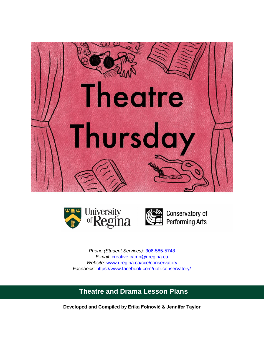



*Phone (Student Services):* [306-585-5748](tel:3065855748) *E-mail:* [creative.camp@uregina.ca](mailto:creative.camp@uregina.ca) *Website:* [www.uregina.ca/cce/conservatory](http://www.uregina.ca/cce/conservatory) *Facebook:* <https://www.facebook.com/uofr.conservatory/>

# **Theatre and Drama Lesson Plans**

**Developed and Compiled by Erika Folnović & Jennifer Taylor**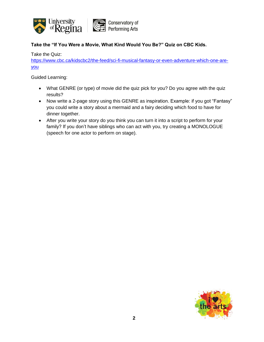

# **Take the "If You Were a Movie, What Kind Would You Be?" Quiz on CBC Kids.**

Take the Quiz:

[https://www.cbc.ca/kidscbc2/the-feed/sci-fi-musical-fantasy-or-even-adventure-which-one-are](https://www.cbc.ca/kidscbc2/the-feed/sci-fi-musical-fantasy-or-even-adventure-which-one-are-you)[you](https://www.cbc.ca/kidscbc2/the-feed/sci-fi-musical-fantasy-or-even-adventure-which-one-are-you)

- What GENRE (or type) of movie did the quiz pick for you? Do you agree with the quiz results?
- Now write a 2-page story using this GENRE as inspiration. Example: if you got "Fantasy" you could write a story about a mermaid and a fairy deciding which food to have for dinner together.
- After you write your story do you think you can turn it into a script to perform for your family? If you don't have siblings who can act with you, try creating a MONOLOGUE (speech for one actor to perform on stage).

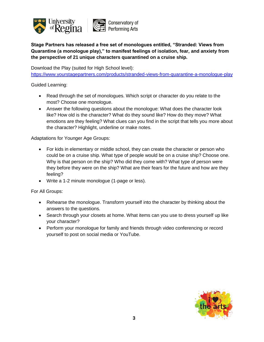

**Stage Partners has released a free set of monologues entitled, "Stranded: Views from Quarantine (a monologue play)," to manifest feelings of isolation, fear, and anxiety from the perspective of 21 unique characters quarantined on a cruise ship.**

Download the Play (suited for High School level):

<https://www.yourstagepartners.com/products/stranded-views-from-quarantine-a-monologue-play>

Guided Learning:

- Read through the set of monologues. Which script or character do you relate to the most? Choose one monologue.
- Answer the following questions about the monologue: What does the character look like? How old is the character? What do they sound like? How do they move? What emotions are they feeling? What clues can you find in the script that tells you more about the character? Highlight, underline or make notes.

Adaptations for Younger Age Groups:

- For kids in elementary or middle school, they can create the character or person who could be on a cruise ship. What type of people would be on a cruise ship? Choose one. Why is that person on the ship? Who did they come with? What type of person were they before they were on the ship? What are their fears for the future and how are they feeling?
- Write a 1-2 minute monologue (1-page or less).

For All Groups:

- Rehearse the monologue. Transform yourself into the character by thinking about the answers to the questions.
- Search through your closets at home. What items can you use to dress yourself up like your character?
- Perform your monologue for family and friends through video conferencing or record yourself to post on social media or YouTube.

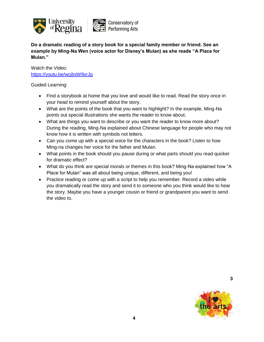

**Do a dramatic reading of a story book for a special family member or friend. See an example by Ming-Na Wen (voice actor for Disney's Mulan) as she reads "A Place for Mulan."** 

Watch the Video: <https://youtu.be/wcjbsW9xrJg>

Guided Learning:

- Find a storybook at home that you love and would like to read. Read the story once in your head to remind yourself about the story.
- What are the points of the book that you want to highlight? In the example, Ming-Na points out special illustrations she wants the reader to know about.
- What are things you want to describe or you want the reader to know more about? During the reading, Ming-Na explained about Chinese language for people who may not know how it is written with symbols not letters.
- Can you come up with a special voice for the characters in the book? Listen to how Ming-na changes her voice for the father and Mulan.
- What points in the book should you pause during or what parts should you read quicker for dramatic effect?
- What do you think are special morals or themes in this book? Ming-Na explained how "A Place for Mulan" was all about being unique, different, and being you!
- Practice reading or come up with a script to help you remember. Record a video while you dramatically read the story and send it to someone who you think would like to hear the story. Maybe you have a younger cousin or friend or grandparent you want to send the video to.



**3**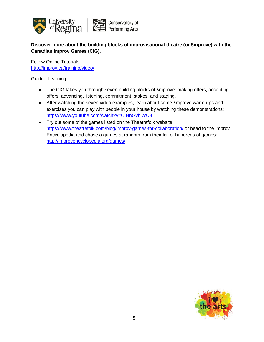

**Discover more about the building blocks of improvisational theatre (or 5mprove) with the Canadian Improv Games (CIG).**

Follow Online Tutorials: <http://improv.ca/training/video/>

- The CIG takes you through seven building blocks of 5mprove: making offers, accepting offers, advancing, listening, commitment, stakes, and staging.
- After watching the seven video examples, learn about some 5mprove warm-ups and exercises you can play with people in your house by watching these demonstrations: <https://www.youtube.com/watch?v=CIHnGvbiWU8>
- Try out some of the games listed on the Theatrefolk website: <https://www.theatrefolk.com/blog/improv-games-for-collaboration/> or head to the Improv Encyclopedia and chose a games at random from their list of hundreds of games: <http://improvencyclopedia.org/games/>

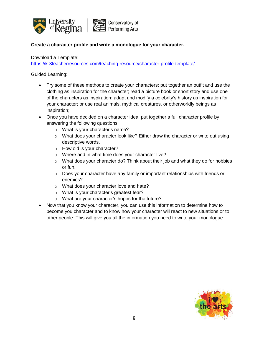

#### **Create a character profile and write a monologue for your character.**

Download a Template:

<https://k-3teacherresources.com/teaching-resource/character-profile-template/>

- Try some of these methods to create your characters: put together an outfit and use the clothing as inspiration for the character; read a picture book or short story and use one of the characters as inspiration; adapt and modify a celebrity's history as inspiration for your character; or use real animals, mythical creatures, or otherworldly beings as inspiration;
- Once you have decided on a character idea, put together a full character profile by answering the following questions:
	- o What is your character's name?
	- $\circ$  What does your character look like? Either draw the character or write out using descriptive words.
	- o How old is your character?
	- o Where and in what time does your character live?
	- o What does your character do? Think about their job and what they do for hobbies or fun.
	- $\circ$  Does your character have any family or important relationships with friends or enemies?
	- o What does your character love and hate?
	- o What is your character's greatest fear?
	- o What are your character's hopes for the future?
- Now that you know your character, you can use this information to determine how to become you character and to know how your character will react to new situations or to other people. This will give you all the information you need to write your monologue.

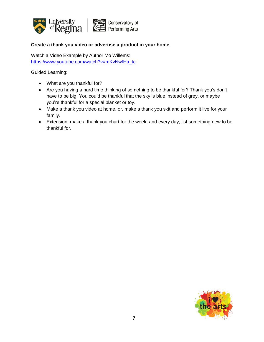

#### **Create a thank you video or advertise a product in your home**.

Watch a Video Example by Author Mo Willems: [https://www.youtube.com/watch?v=mKvNwfHa\\_tc](https://www.youtube.com/watch?v=mKvNwfHa_tc)

- What are you thankful for?
- Are you having a hard time thinking of something to be thankful for? Thank you's don't have to be big. You could be thankful that the sky is blue instead of grey, or maybe you're thankful for a special blanket or toy.
- Make a thank you video at home, or, make a thank you skit and perform it live for your family.
- Extension: make a thank you chart for the week, and every day, list something new to be thankful for.

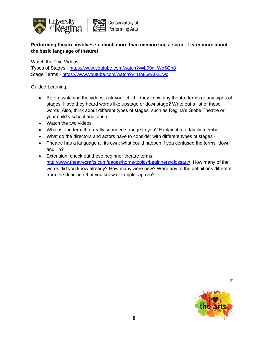

# **Performing theatre involves so much more than memorizing a script. Learn more about the basic language of theatre!**

Watch the Two Videos:

Types of Stages - [https://www.youtube.com/watch?v=L99g\\_Wg5Gh8](https://www.youtube.com/watch?v=L99g_Wg5Gh8) Stage Terms - <https://www.youtube.com/watch?v=Un85gA0S1wc>

Guided Learning:

- Before watching the videos, ask your child if they know any theatre terms or any types of stages. Have they heard words like upstage or downstage? Write out a list of these words. Also, think about different types of stages, such as Regina's Globe Theatre or your child's school auditorium.
- Watch the two videos.
- What is one term that really sounded strange to you? Explain it to a family member.
- What do the directors and actors have to consider with different types of stages?
- Theatre has a language all its own; what could happen if you confused the terms "down" and "in?"
- Extension: check out these beginner theatre terms: [http://www.theatrecrafts.com/pages/home/topics/beginners/glossary/.](http://www.theatrecrafts.com/pages/home/topics/beginners/glossary/) How many of the words did you know already? How many were new? Were any of the definitions different from the definition that you know (example: apron)?



**2**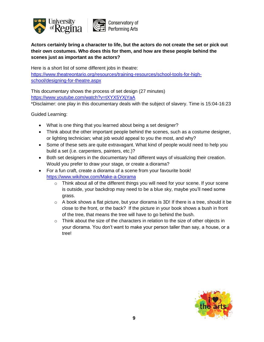

# **Actors certainly bring a character to life, but the actors do not create the set or pick out their own costumes. Who does this for them, and how are these people behind the scenes just as important as the actors?**

Here is a short list of some different jobs in theatre: [https://www.theatreontario.org/resources/training-resources/school-tools-for-high](https://www.theatreontario.org/resources/training-resources/school-tools-for-high-school/designing-for-theatre.aspx)[school/designing-for-theatre.aspx](https://www.theatreontario.org/resources/training-resources/school-tools-for-high-school/designing-for-theatre.aspx)

This documentary shows the process of set design (27 minutes) <https://www.youtube.com/watch?v=tXYX5YXjYaA>

\*Disclaimer: one play in this documentary deals with the subject of slavery. Time is 15:04-16:23

- What is one thing that you learned about being a set designer?
- Think about the other important people behind the scenes, such as a costume designer, or lighting technician; what job would appeal to you the most, and why?
- Some of these sets are quite extravagant. What kind of people would need to help you build a set (i.e. carpenters, painters, etc.)?
- Both set designers in the documentary had different ways of visualizing their creation. Would you prefer to draw your stage, or create a diorama?
- For a fun craft, create a diorama of a scene from your favourite book! <https://www.wikihow.com/Make-a-Diorama>
	- o Think about all of the different things you will need for your scene. If your scene is outside, your backdrop may need to be a blue sky, maybe you'll need some grass.
	- $\circ$  A book shows a flat picture, but your diorama is 3D! If there is a tree, should it be close to the front, or the back? If the picture in your book shows a bush in front of the tree, that means the tree will have to go behind the bush.
	- $\circ$  Think about the size of the characters in relation to the size of other objects in your diorama. You don't want to make your person taller than say, a house, or a tree!

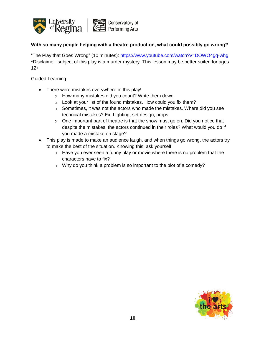

#### **With so many people helping with a theatre production, what could possibly go wrong?**

"The Play that Goes Wrong" (10 minutes):<https://www.youtube.com/watch?v=DOWO4gq-whg> \*Disclaimer: subject of this play is a murder mystery. This lesson may be better suited for ages 12+

- There were mistakes everywhere in this play!
	- o How many mistakes did you count? Write them down.
	- o Look at your list of the found mistakes. How could you fix them?
	- o Sometimes, it was not the actors who made the mistakes. Where did you see technical mistakes? Ex. Lighting, set design, props.
	- o One important part of theatre is that the show must go on. Did you notice that despite the mistakes, the actors continued in their roles? What would you do if you made a mistake on stage?
- This play is made to make an audience laugh, and when things go wrong, the actors try to make the best of the situation. Knowing this, ask yourself
	- o Have you ever seen a funny play or movie where there is no problem that the characters have to fix?
	- o Why do you think a problem is so important to the plot of a comedy?

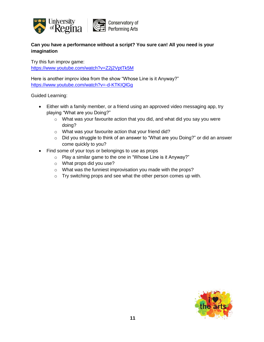

# **Can you have a performance without a script? You sure can! All you need is your imagination**

Try this fun improv game: <https://www.youtube.com/watch?v=Z2j2VptTk5M>

Here is another improv idea from the show "Whose Line is it Anyway?" <https://www.youtube.com/watch?v=-d-KTKIQlGg>

- Either with a family member, or a friend using an approved video messaging app, try playing "What are you Doing?"
	- o What was your favourite action that you did, and what did you say you were doing?
	- o What was your favourite action that your friend did?
	- o Did you struggle to think of an answer to "What are you Doing?" or did an answer come quickly to you?
- Find some of your toys or belongings to use as props
	- o Play a similar game to the one in "Whose Line is it Anyway?"
	- o What props did you use?
	- o What was the funniest improvisation you made with the props?
	- o Try switching props and see what the other person comes up with.

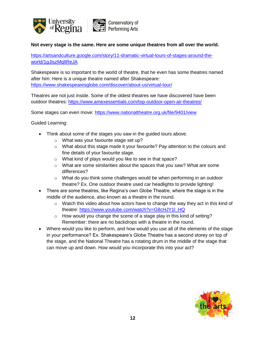

#### **Not every stage is the same. Here are some unique theatres from all over the world.**

[https://artsandculture.google.com/story/11-dramatic-virtual-tours-of-stages-around-the](https://artsandculture.google.com/story/11-dramatic-virtual-tours-of-stages-around-the-world/1gJiszMqltReJA)[world/1gJiszMqltReJA](https://artsandculture.google.com/story/11-dramatic-virtual-tours-of-stages-around-the-world/1gJiszMqltReJA)

Shakespeare is so important to the world of theatre, that he even has some theatres named after him. Here is a unique theatre named after Shakespeare: <https://www.shakespearesglobe.com/discover/about-us/virtual-tour/>

Theatres are not just inside. Some of the oldest theatres we have discovered have been outdoor theatres:<https://www.amexessentials.com/top-outdoor-open-air-theatres/>

Some stages can even move:<https://www.nationaltheatre.org.uk/file/9401/view>

- Think about some of the stages you saw in the guided tours above.
	- o What was your favourite stage set up?
	- $\circ$  What about this stage made it your favourite? Pay attention to the colours and fine details of your favourite stage.
	- o What kind of plays would you like to see in that space?
	- $\circ$  What are some similarities about the spaces that you saw? What are some differences?
	- o What do you think some challenges would be when performing in an outdoor theatre? Ex. One outdoor theatre used car headlights to provide lighting!
- There are some theatres, like Regina's own Globe Theatre, where the stage is in the middle of the audience, also known as a theatre in the round.
	- $\circ$  Watch this video about how actors have to change the way they act in this kind of theatre: [https://www.youtube.com/watch?v=G8cHJY1l\\_HQ](https://www.youtube.com/watch?v=G8cHJY1l_HQ)
	- o How would you change the scene of a stage play in this kind of setting? Remember: there are no backdrops with a theatre in the round.
- Where would you like to perform, and how would you use all of the elements of the stage in your performance? Ex. Shakespeare's Globe Theatre has a second storey on top of the stage, and the National Theatre has a rotating drum in the middle of the stage that can move up and down. How would you incorporate this into your act?

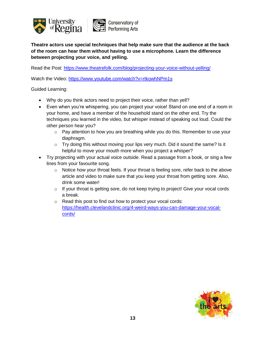

**Theatre actors use special techniques that help make sure that the audience at the back of the room can hear them without having to use a microphone. Learn the difference between projecting your voice, and yelling.**

Read the Post: <https://www.theatrefolk.com/blog/projecting-your-voice-without-yelling/>

Watch the Video: <https://www.youtube.com/watch?v=rtkowhNPm1s>

- Why do you think actors need to project their voice, rather than yell?
- Even when you're whispering, you can project your voice! Stand on one end of a room in your home, and have a member of the household stand on the other end. Try the techniques you learned in the video, but whisper instead of speaking out loud. Could the other person hear you?
	- o Pay attention to how you are breathing while you do this. Remember to use your diaphragm.
	- $\circ$  Try doing this without moving your lips very much. Did it sound the same? Is it helpful to move your mouth more when you project a whisper?
- Try projecting with your actual voice outside. Read a passage from a book, or sing a few lines from your favourite song.
	- o Notice how your throat feels. If your throat is feeling sore, refer back to the above article and video to make sure that you keep your throat from getting sore. Also, drink some water!
	- $\circ$  If your throat is getting sore, do not keep trying to project! Give your vocal cords a break.
	- o Read this post to find out how to protect your vocal cords: [https://health.clevelandclinic.org/4-weird-ways-you-can-damage-your-vocal](https://health.clevelandclinic.org/4-weird-ways-you-can-damage-your-vocal-cords/)[cords/](https://health.clevelandclinic.org/4-weird-ways-you-can-damage-your-vocal-cords/)

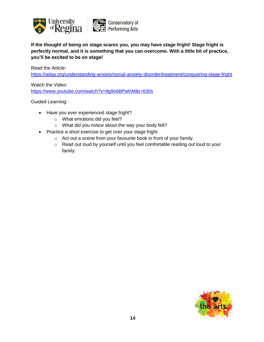

**If the thought of being on stage scares you, you may have stage fright! Stage fright is perfectly normal, and it is something that you can overcome. With a little bit of practice, you'll be excited to be on stage!**

Read the Article:

<https://adaa.org/understanding-anxiety/social-anxiety-disorder/treatment/conquering-stage-fright>

Watch the Video:

<https://www.youtube.com/watch?v=9g9o6BPafnM&t=630s>

- Have you ever experienced stage fright?
	- o What emotions did you feel?
	- o What did you notice about the way your body felt?
- Practice a short exercise to get over your stage fright
	- o Act out a scene from your favourite book in front of your family.
	- o Read out loud by yourself until you feel comfortable reading out loud to your family.

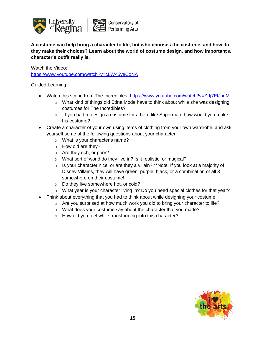

**A costume can help bring a character to life, but who chooses the costume, and how do they make their choices? Learn about the world of costume design, and how important a character's outfit really is.**

Watch the Video:

<https://www.youtube.com/watch?v=cLW45yeCoNA>

- Watch this scene from The Incredibles:<https://www.youtube.com/watch?v=Z-Ij7ElJnqM>
	- o What kind of things did Edna Mode have to think about while she was designing costumes for The Incredibles?
	- $\circ$  If you had to design a costume for a hero like Superman, how would you make his costume?
- Create a character of your own using items of clothing from your own wardrobe, and ask yourself some of the following questions about your character:
	- o What is your character's name?
	- o How old are they?
	- o Are they rich, or poor?
	- o What sort of world do they live in? Is it realistic, or magical?
	- o Is your character nice, or are they a villain? \*\*Note: If you look at a majority of Disney Villains, they will have green, purple, black, or a combination of all 3 somewhere on their costume!
	- o Do they live somewhere hot, or cold?
	- o What year is your character living in? Do you need special clothes for that year?
- Think about everything that you had to think about while designing your costume
	- $\circ$  Are you surprised at how much work you did to bring your character to life?
	- o What does your costume say about the character that you made?
	- o How did you feel while transforming into this character?

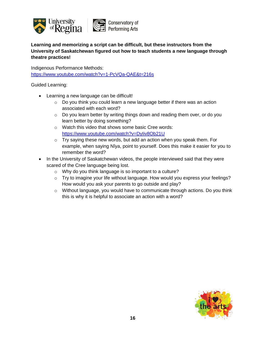

**Learning and memorizing a script can be difficult, but these instructors from the University of Saskatchewan figured out how to teach students a new language through theatre practices!**

Indigenous Performance Methods: <https://www.youtube.com/watch?v=1-PcVQa-QAE&t=216s>

- Learning a new language can be difficult!
	- o Do you think you could learn a new language better if there was an action associated with each word?
	- o Do you learn better by writing things down and reading them over, or do you learn better by doing something?
	- o Watch this video that shows some basic Cree words: <https://www.youtube.com/watch?v=DyIiv8Ob21U>
	- o Try saying these new words, but add an action when you speak them. For example, when saying Nîya, point to yourself. Does this make it easier for you to remember the word?
- In the University of Saskatchewan videos, the people interviewed said that they were scared of the Cree language being lost.
	- o Why do you think language is so important to a culture?
	- o Try to imagine your life without language. How would you express your feelings? How would you ask your parents to go outside and play?
	- o Without language, you would have to communicate through actions. Do you think this is why it is helpful to associate an action with a word?